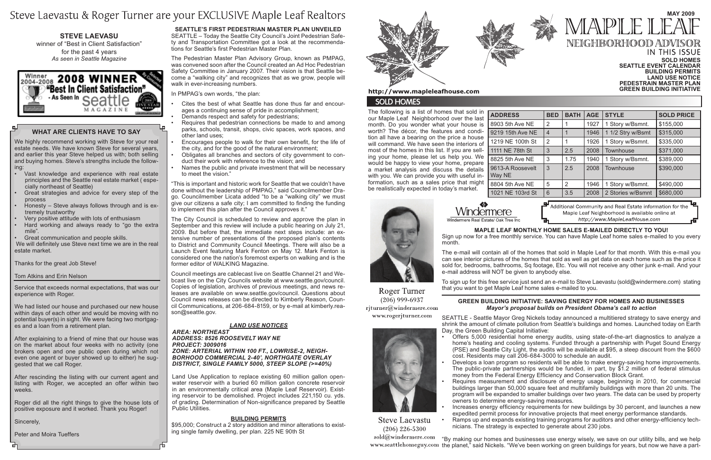#### **IN THIS ISSUE Sold Homes Seattle Event Calendar Building Permits Land Use Notice Pedestrain Master plan Green Building Initiative**

# **MAY 2009** MAPI E NEIGHBORHOOD ADV

The following is a list of homes that sold in our Maple Leaf Neighborhood over the last month. Do you wonder what your house is worth? The décor, the features and condition all have a bearing on the price a house will command. We have seen the interiors of most of the homes in this list. If you are selling your home, please let us help you. We would be happy to view your home, prepare a market analysis and discuss the details with you. We can provide you with useful information, such as a sales price that might be realistically expected in today's market.

 $ADDRESS$ 8903 5th Ave 9219 15th Av 1219 NE 100 1111 NE 78th 8825 5th Ave 9613-A Roos Way NE 8804 5th Ave

1021 NE 103



Roger Turner  $(206)$  999-6937 rjturner@windermere.com www.rogerjturner.com



**Steve Laevastu**  $(206)$  226-5300

Windermere Windermere Real Estate/ Oak Tree Ing

|               | <b>BED</b>     | <b>BATH</b> | <b>AGE</b> | <b>STYLE</b>      | <b>SOLD PRICE</b> |
|---------------|----------------|-------------|------------|-------------------|-------------------|
| : NE          | 2              |             | 1927       | 1 Story w/Bsmnt.  | \$155,000         |
| e NE          | $\overline{4}$ |             | 1946       | 1 1/2 Stry w/Bsmt | \$315,000         |
| th St         | 2              |             | 1926       | 1 Story w/Bsmnt.  | \$335,000         |
| I St          | 3              | 2.5         | 2008       | Townhouse         | \$371,000         |
| NE            | 3              | 1.75        | 1940       | 1 Story w/Bsmnt.  | \$389,000         |
| evelt         | 3              | 2.5         | 2008       | Townhouse         | \$390,000         |
| NE            | 5              | 2           | 1946       | 1 Story w/Bsmnt.  | \$490,000         |
| <b>Srd St</b> | 6              | 3.5         | 2008       | 2 Stories w/Bsmnt | \$680,000         |
|               |                |             |            |                   |                   |

Additional Community and Real Estate information for the Maple Leaf Neighborhood is available online at http://www.MapleLeafHouse.com

# **What Are Clients Have to Say**

We highly recommend working with Steve for your real estate needs. We have known Steve for several years, and earlier this year Steve helped us with; both selling and buying homes. Steve's strengths include the following:

- Vast knowledge and experience with real estate principles and the Seattle real estate market ( especially northeast of Seattle)
- Great strategies and advice for every step of the process
- Honesty  $-$  Steve always follows through and is extremely trustworthy
- Very positive attitude with lots of enthusiasm
- Hard working and always ready to "go the extra mile".
- Great communication and people skills.

We will definitely use Steve next time we are in the real estate market.

Thanks for the great Job Steve!

### Tom Atkins and Erin Nelson

Service that exceeds normal expectations, that was our experience with Roger.

We had listed our house and purchased our new house within days of each other and would be moving with no potential buyer(s) in sight. We were facing two mortgages and a loan from a retirement plan.

After explaining to a friend of mine that our house was on the market about four weeks with no activity (one brokers open and one public open during which not even one agent or buyer showed up to either) he suggested that we call Roger.

Offers 5,000 residential home energy audits, using state-of-the-art diagnostics to analyze a home's heating and cooling systems. Funded through a partnership with Puget Sound Energy (PSE) and Seattle City Light, the audits will be available at \$95, a steep discount from the \$600 cost. Residents may call 206-684-3000 to schedule an audit.

After rescinding the listing with our current agent and listing with Roger, we accepted an offer within two weeks.

Develops a loan program so residents will be able to make energy-saving home improvements. The public-private partnerships would be funded, in part, by \$1.2 million of federal stimulus money from the Federal Energy Efficiency and Conservation Block Grant.

Roger did all the right things to give the house lots of positive exposure and it worked. Thank you Roger!

Sincerely,

Peter and Moira Tueffers

Requires measurement and disclosure of energy usage, beginning in 2010, for commercial buildings larger than 50,000 square feet and multifamily buildings with more than 20 units. The program will be expanded to smaller buildings over two years. The data can be used by property

# Steve Laevastu & Roger Turner are your EXCLUSIVE Maple Leaf Realtors

**Steve Laevasu**  winner of "Best in Client Satisfaction" for the past 4 years *As seen in Seattle Magazine*



Increases energy efficiency requirements for new buildings by 30 percent, and launches a new expedited permit process for innovative projects that meet energy performance standards.

### **Building Permits**

\$95,000; Construct a 2 story addition and minor alterations to existing single family dwelling, per plan. 225 NE 90th St



## http://www.mapleleafhouse.com

# **SOLD HOMES**

Ramps up and expands existing training programs for auditors and other energy-efficiency technicians. The strategy is expected to generate about 230 jobs.

sold@windermere.com "By making our homes and businesses use energy wisely, we save on our utility bills, and we help www.seattlehomeguy.com the planet," said Nickels. "We've been working on green buildings for years, but now we have a part-

### *LAND USE NOTICES*

#### *Area: Northeast Address: 8526 ROOSEVELT WAY NE Project: 3009016 Zone: ARTERIAL WITHIN 100 FT., LOWRISE-2, NEIGH-BORHOOD COMMERCIAL 2-40', NORTHGATE OVERLAY DISTRICT, SINGLE FAMILY 5000, STEEP SLOPE (>=40%)*

Land Use Application to replace existing 60 million gallon openwater reservoir with a buried 60 million gallon concrete reservoir in an environmentally critical area (Maple Leaf Reservoir). Existing reservoir to be demolished. Project includes 221,150 cu. yds. of grading. Determination of Non-significance prepared by Seattle Public Utilities.

Requires that pedestrian connections be made to and among parks, schools, transit, shops, civic spaces, work spaces, and other land uses;

# **Maple Leaf monthly home sales e-mailed directly to you!**

- Encourages people to walk for their own benefit, for the life of the city, and for the good of the natural environment;
- Obligates all branches and sectors of city government to conduct their work with reference to the vision; and
- Names the public and private investment that will be necessary to meet the vision."

Sign up now for a free monthly service. You can have Maple Leaf home sales e-mailed to you every month.

The e-mail will contain all of the homes that sold in Maple Leaf for that month. With this e-mail you can see interior pictures of the homes that sold as well as get data on each home such as the price it sold for, bedrooms, bathrooms, Sq footage, Etc. You will not receive any other junk e-mail. And your e-mail address will NOT be given to anybody else.

To sign up for this free service just send an e-mail to Steve Laevastu (sold@windermere.com) stating that you want to get Maple Leaf home sales e-mailed to you.

### **Green Building Initiative: saving energy for homes and businesses** *Mayor's proposal builds on President Obama's call to action*

SEATTLE - Seattle Mayor Greg Nickels today announced a multitiered strategy to save energy and shrink the amount of climate pollution from Seattle's buildings and homes. Launched today on Earth Day, the Green Building Capital Initiative:

- 
- 
- owners to determine energy-saving measures.



**Seattle's First Pedestrian Master Plan Unveiled** SEATTLE – Today the Seattle City Council's Joint Pedestrian Safety and Transportation Committee got a look at the recommendations for Seattle's first Pedestrian Master Plan.

The Pedestrian Master Plan Advisory Group, known as PMPAG, was convened soon after the Council created an Ad Hoc Pedestrian Safety Committee in January 2007. Their vision is that Seattle become a "walking city" and recognizes that as we grow, people will walk in ever-increasing numbers.

In PMPAG's own words, "the plan:

- Cites the best of what Seattle has done thus far and encourages a continuing sense of pride in accomplishment;
- Demands respect and safety for pedestrians;

"This is important and historic work for Seattle that we couldn't have done without the leadership of PMPAG," said Councilmember Drago. Councilmember Licata added "to be a "walking city" we must give our citizens a safe city; I am committed to finding the funding to implement this plan after the Council approves it."

The City Council is scheduled to review and approve the plan in September and this review will include a public hearing on July 21, 2009. But before that, the immediate next steps include: an extensive number of presentations of the proposed plan's contents to District and Community Council Meetings. There will also be a Launch Event featuring Mark Fenton on May 12. Mark Fenton is considered one the nation's foremost experts on walking and is the former editor of WALKING Magazine.

Council meetings are cablecast live on Seattle Channel 21 and Webcast live on the City Councils website at www.seattle.gov/council. Copies of legislation, archives of previous meetings, and news releases are available on www.seattle.gov/council. Questions about Council news releases can be directed to Kimberly Reason, Council Communications, at 206-684-8159, or by e-mail at kimberly.reason@seattle.gov.